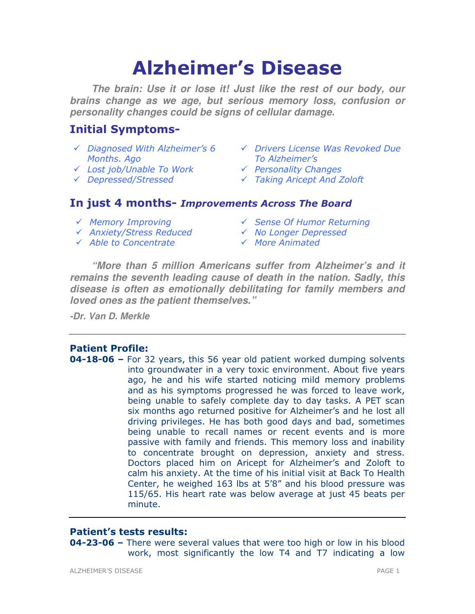# Alzheimer's Disease

**The brain: Use it or lose it! Just like the rest of our body, our brains change as we age, but serious memory loss, confusion or personality changes could be signs of cellular damage.** 

# Initial Symptoms-

- Months. Ago
- V Lost job/Unable To Work → Personality Changes
- 
- Diagnosed With Alzheimer's 6 Drivers License Was Revoked Due To Alzheimer's
	-
- Depressed/Stressed Taking Aricept And Zoloft

# In just 4 months- Improvements Across The Board

- 
- √ Anxiety/Stress Reduced v No Longer Depressed
- $\checkmark$  Able to Concentrate  $\checkmark$  More Animated
- √ Memory Improving v Sense Of Humor Returning
	-
	-

**"More than 5 million Americans suffer from Alzheimer's and it remains the seventh leading cause of death in the nation. Sadly, this disease is often as emotionally debilitating for family members and loved ones as the patient themselves."** 

**-Dr. Van D. Merkle**

# Patient Profile:

04-18-06 – For 32 years, this 56 year old patient worked dumping solvents into groundwater in a very toxic environment. About five years ago, he and his wife started noticing mild memory problems and as his symptoms progressed he was forced to leave work, being unable to safely complete day to day tasks. A PET scan six months ago returned positive for Alzheimer's and he lost all driving privileges. He has both good days and bad, sometimes being unable to recall names or recent events and is more passive with family and friends. This memory loss and inability to concentrate brought on depression, anxiety and stress. Doctors placed him on Aricept for Alzheimer's and Zoloft to calm his anxiety. At the time of his initial visit at Back To Health Center, he weighed 163 lbs at 5'8" and his blood pressure was 115/65. His heart rate was below average at just 45 beats per minute.

# Patient's tests results:

**04-23-06 –** There were several values that were too high or low in his blood work, most significantly the low T4 and T7 indicating a low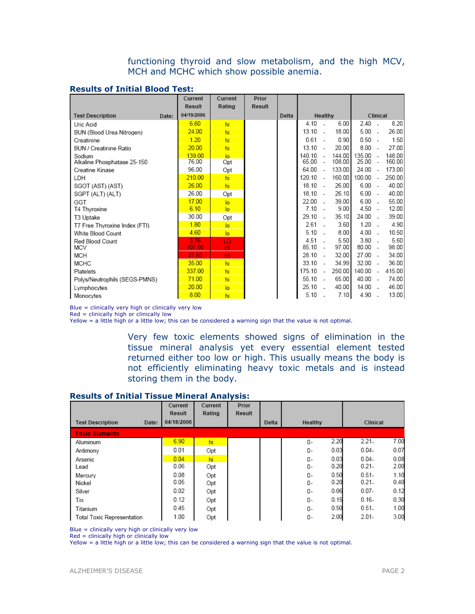functioning thyroid and slow metabolism, and the high MCV, MCH and MCHC which show possible anemia.

| <b>Results of Initial Blood Test:</b> |  |  |  |  |
|---------------------------------------|--|--|--|--|
|---------------------------------------|--|--|--|--|

|                                       | Current         | Current               | Prior         |       |                 |                          |                  |                     |                          |                  |
|---------------------------------------|-----------------|-----------------------|---------------|-------|-----------------|--------------------------|------------------|---------------------|--------------------------|------------------|
|                                       | <b>Result</b>   | Rating                | <b>Result</b> |       |                 |                          |                  |                     |                          |                  |
| <b>Test Description</b><br>Date:      | 04/19/2006      |                       |               | Delta |                 | Healthy                  |                  |                     | Clinical                 |                  |
| Uric Acid                             | 6.60            | hi                    |               |       | 4.10            |                          | 6.00             | 2.40                |                          | 8.20             |
| BUN (Blood Urea Nitrogen)             | 24.00           | hi                    |               |       | 13.10           | ÷.                       | 18.00            | 5.00                | $\overline{\phantom{a}}$ | 26.00            |
| Creatinine                            | 1.20            | hi                    |               |       | 0.61            |                          | 0.90             | 0.50                | $\sim$                   | 1.50             |
| BUN / Creatinine Ratio                | 20.00           | hi                    |               |       | 13.10           | $\sim$                   | 20.00            | 8.00                | $\overline{\phantom{a}}$ | 27.00            |
| Sodium<br>Alkaline Phosphatase 25-150 | 139.00<br>76.00 | $\overline{a}$<br>Opt |               |       | 140.10<br>65.00 | $\sim$                   | 144.00<br>108.00 | 135.00<br>$25.00 -$ |                          | 148.00<br>160.00 |
| Creatine Kinase                       | 96.00           | Opt                   |               |       | 64.00           | $\sim$                   | 133.00           | $24.00 -$           |                          | 173.00           |
| LDH                                   | 210.00          | hi.                   |               |       | 120.10          | $\overline{\phantom{a}}$ | 160.00           | 100.00              | $\overline{\phantom{a}}$ | 250.00           |
| SGOT (AST) (AST)                      | 26.00           | hi                    |               |       | $18.10 -$       |                          | 26.00            | $6.00 -$            |                          | 40.00            |
| SGPT (ALT) (ALT)                      | 26.00           | Opt                   |               |       | 18.10           | - 2                      | 26.10            | $6.00 -$            |                          | 40.00            |
| GGT                                   | 17.00           | $\overline{a}$        |               |       | 22.00           | $\sim$                   | 39.00            | $6.00 -$            |                          | 55.00            |
| T4 Thyroxine                          | 6.10            | $\overline{a}$        |               |       | 7.10            | $\sim$                   | 9.00             | $4.50 -$            |                          | 12.00            |
| T3 Uptake                             | 30.00           | Opt                   |               |       | 29.10           | ÷.                       | 35.10            | 24.00               | $\sim$                   | 39.00            |
| T7 Free Thyroxine Index (FTI)         | 1.80            | $\overline{a}$        |               |       | 2.61            |                          | 3.60             | $1.20 -$            |                          | 4.90             |
| White Blood Count                     | 4.60            | lo.                   |               |       | 5.10            |                          | 8.00             | $4.00 -$            |                          | 10.50            |
| Red Blood Count                       | 3.76            | LO                    |               |       | $4.51 -$        |                          | 5.50             | $3.80 -$            |                          | 5.60             |
| <b>MCV</b>                            | 107.00          | HI.                   |               |       | 85.10           | $\sim$                   | 97.00            | $80.00 -$           |                          | 98.00            |
| MCH                                   | 37.50           | HI                    |               |       | 28.10           | $\sim$                   | 32.00            | $27.00 -$           |                          | 34.00            |
| <b>MCHC</b>                           | 35.00           | hi                    |               |       | 33.10           | $\sim$                   | 34.99            | $32.00 -$           |                          | 36.00            |
| Platelets                             | 337.00          | hi                    |               |       | 175.10          | $\overline{a}$           | 250.00           | 140.00              | $\sim$                   | 415.00           |
| Polys/Neutrophils (SEGS-PMNS)         | 71.00           | hi                    |               |       | 55.10           | $\sim$                   | 65.00            | 40.00 -             |                          | 74.00            |
| Lymphocytes                           | 20.00           | $\overline{a}$        |               |       | 25.10           | $\sim$                   | 40.00            | $14.00 -$           |                          | 46.00            |
| Monocytes                             | 8.00            | hi                    |               |       | 5.10            |                          | 7.10             | 4.90                | ۰.                       | 13.00            |

Blue = clinically very high or clinically very low

Red = clinically high or clinically low

Yellow = a little high or a little low; this can be considered a warning sign that the value is not optimal.

Very few toxic elements showed signs of elimination in the tissue mineral analysis yet every essential element tested returned either too low or high. This usually means the body is not efficiently eliminating heavy toxic metals and is instead storing them in the body.

#### Results of Initial Tissue Mineral Analysis:

|                                  | Current    | Current | Prior  |       |         |      |          |      |
|----------------------------------|------------|---------|--------|-------|---------|------|----------|------|
|                                  | Result     | Rating  | Result |       |         |      |          |      |
| <b>Test Description</b><br>Date: | 04/18/2006 |         |        | Delta | Healthy |      | Clinical |      |
| <b>Toxic Elements</b>            |            |         |        |       |         |      |          |      |
| Aluminum                         | 6.90       | hi      |        |       | 0-      | 2.20 | $2.21 -$ | 7.00 |
| Antimony                         | 0.01       | Opt     |        |       | 0-      | 0.03 | $0.04 -$ | 0.07 |
| Arsenic                          | 0.04       | hi      |        |       | 0-      | 0.03 | $0.04 -$ | 0.08 |
| Lead                             | 0.06       | Opt     |        |       | 0-      | 0.20 | $0.21 -$ | 2.00 |
| Mercury                          | 0.08       | Opt     |        |       | 0-      | 0.50 | $0.51 -$ | 1.10 |
| Nickel                           | 0.05       | Opt     |        |       | 0-      | 0.20 | $0.21 -$ | 0.40 |
| Silver                           | 0.02       | Opt     |        |       | 0-      | 0.06 | $0.07 -$ | 0.12 |
| Tin                              | 0.12       | Opt     |        |       | 0-      | 0.15 | $0.16 -$ | 0.30 |
| Titanium                         | 0.45       | Opt     |        |       | 0-      | 0.50 | $0.51 -$ | 1.00 |
| Total Toxic Representation       | 1.00       | Opt     |        |       | 0-      | 2.00 | $2.01 -$ | 3.00 |

Blue = clinically very high or clinically very low

 $Red = clinically high or clinically low$ 

Yellow = a little high or a little low; this can be considered a warning sign that the value is not optimal.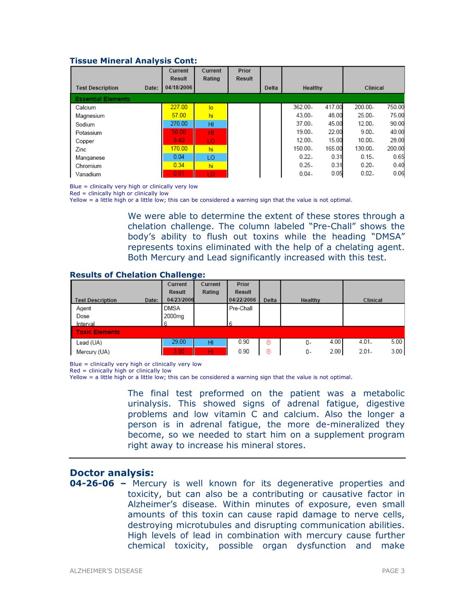#### Tissue Mineral Analysis Cont:

|                                  | Current    | Current | Prior  |       |           |        |           |        |  |
|----------------------------------|------------|---------|--------|-------|-----------|--------|-----------|--------|--|
|                                  | Result     | Rating  | Result |       |           |        |           |        |  |
| <b>Test Description</b><br>Date: | 04/18/2006 |         |        | Delta | Healthy   |        | Clinical  |        |  |
| <b>Essential Elements</b>        |            |         |        |       |           |        |           |        |  |
| Calcium                          | 227.00     | lo      |        |       | 362.00-   | 417.00 | 200.00-   | 750.00 |  |
| Magnesium                        | 57.00      | hi      |        |       | $43.00 -$ | 48.00  | $25.00 -$ | 75.00  |  |
| Sodium                           | 270.00     | HI      |        |       | 37.00.    | 45.00  | $12.00 -$ | 90.00  |  |
| Potassium                        | 56.00      | HI.     |        |       | 19.00-    | 22.00  | $9.00 -$  | 40.00  |  |
| Copper                           | 9.40       | LO.     |        |       | $12.00 -$ | 15.00  | $10.00 -$ | 28.00  |  |
| Zinc                             | 170.00     | hi      |        |       | 150.00.   | 165.00 | 130.00.   | 200.00 |  |
| Manganese                        | 0.04       | LO      |        |       | $0.22 -$  | 0.31   | $0.15 -$  | 0.65   |  |
| Chromium                         | 0.34       | hi      |        |       | $0.25 -$  | 0.31   | $0.20 -$  | 0.40   |  |
| Vanadium                         | 0.01       | LO.     |        |       | $0.04 -$  | 0.05   | $0.02 -$  | 0.06   |  |

Blue = clinically very high or clinically very low

Red = clinically high or clinically low

Yellow = a little high or a little low; this can be considered a warning sign that the value is not optimal.

We were able to determine the extent of these stores through a chelation challenge. The column labeled "Pre-Chall" shows the body's ability to flush out toxins while the heading "DMSA" represents toxins eliminated with the help of a chelating agent. Both Mercury and Lead significantly increased with this test.

#### Results of Chelation Challenge:

|                                  | Current     | Current | Prior      |       |            |                  |
|----------------------------------|-------------|---------|------------|-------|------------|------------------|
|                                  | Result      | Rating  | Result     |       |            |                  |
| <b>Test Description</b><br>Date: | 04/23/2006  |         | 04/22/2006 | Delta | Healthy    | Clinical         |
| Agent                            | <b>DMSA</b> |         | Pre-Chall  |       |            |                  |
| Dose                             | 2000mg      |         |            |       |            |                  |
| Interval                         |             |         | б          |       |            |                  |
| <b>Toxic Elements</b>            |             |         |            |       |            |                  |
| Lead (UA)                        | 29.00       | HI      | 0.90       | ⊛     | 4.00<br>0- | 5.00<br>$4.01 -$ |
| Mercury (UA)                     | 3.00        | HI      | 0.90       | ⊛     | 2.00<br>0- | $2.01 -$<br>3.00 |

Blue = clinically very high or clinically very low

 $Red = \frac{clinically}{high}$  or clinically low

Yellow = a little high or a little low; this can be considered a warning sign that the value is not optimal.

The final test preformed on the patient was a metabolic urinalysis. This showed signs of adrenal fatigue, digestive problems and low vitamin C and calcium. Also the longer a person is in adrenal fatigue, the more de-mineralized they become, so we needed to start him on a supplement program right away to increase his mineral stores.

#### Doctor analysis:

**04-26-06 –** Mercury is well known for its degenerative properties and toxicity, but can also be a contributing or causative factor in Alzheimer's disease. Within minutes of exposure, even small amounts of this toxin can cause rapid damage to nerve cells, destroying microtubules and disrupting communication abilities. High levels of lead in combination with mercury cause further chemical toxicity, possible organ dysfunction and make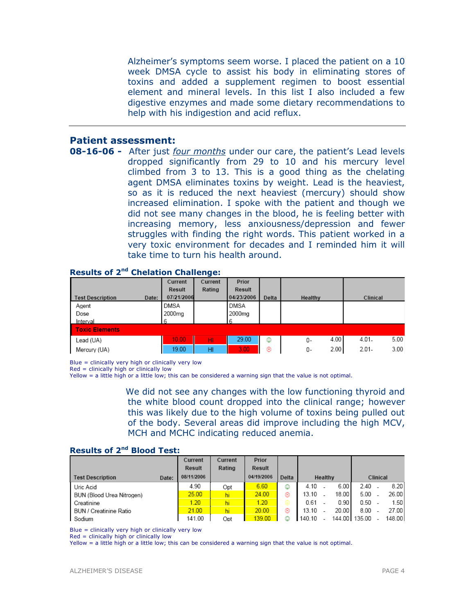Alzheimer's symptoms seem worse. I placed the patient on a 10 week DMSA cycle to assist his body in eliminating stores of toxins and added a supplement regimen to boost essential element and mineral levels. In this list I also included a few digestive enzymes and made some dietary recommendations to help with his indigestion and acid reflux.

## Patient assessment:

**08-16-06 -** After just *four months* under our care, the patient's Lead levels dropped significantly from 29 to 10 and his mercury level climbed from 3 to 13. This is a good thing as the chelating agent DMSA eliminates toxins by weight. Lead is the heaviest, so as it is reduced the next heaviest (mercury) should show increased elimination. I spoke with the patient and though we did not see many changes in the blood, he is feeling better with increasing memory, less anxiousness/depression and fewer struggles with finding the right words. This patient worked in a very toxic environment for decades and I reminded him it will take time to turn his health around.

|                         |       | <u>shshatish shahong sh</u> |         |             |       |            |          |      |
|-------------------------|-------|-----------------------------|---------|-------------|-------|------------|----------|------|
|                         |       | Current                     | Current | Prior       |       |            |          |      |
|                         |       | Result                      | Rating  | Result      |       |            |          |      |
| <b>Test Description</b> | Date: | 07/21/2006                  |         | 04/23/2006  | Delta | Healthy    | Clinical |      |
| Agent                   |       | <b>DMSA</b>                 |         | <b>DMSA</b> |       |            |          |      |
| Dose                    |       | 2000 <sub>mg</sub>          |         | 2000mg      |       |            |          |      |
| Interval                |       |                             |         |             |       |            |          |      |
| <b>Toxic Elements</b>   |       |                             |         |             |       |            |          |      |
| Lead (UA)               |       | 10.00                       | HI      | 29.00       | ☺     | 4.00<br>0- | $4.01 -$ | 5.00 |
| Mercury (UA)            |       | 19.00                       | HI      | 3.00        | ⊛     | 2.00<br>0- | $2.01 -$ | 3.00 |

### Results of 2nd Chelation Challenge:

Blue = clinically very high or clinically very low

Red = clinically high or clinically low

Yellow = a little high or a little low; this can be considered a warning sign that the value is not optimal.

We did not see any changes with the low functioning thyroid and the white blood count dropped into the clinical range; however this was likely due to the high volume of toxins being pulled out of the body. Several areas did improve including the high MCV, MCH and MCHC indicating reduced anemia.

#### Results of 2<sup>nd</sup> Blood Test:

|                           |       | Current    | Current | Prior      |       |        |         |       |               |          |        |
|---------------------------|-------|------------|---------|------------|-------|--------|---------|-------|---------------|----------|--------|
|                           |       | Result     | Rating  | Result     |       |        |         |       |               |          |        |
| <b>Test Description</b>   | Date: | 08/11/2006 |         | 04/19/2006 | Delta |        | Healthy |       |               | Clinical |        |
| Uric Acid                 |       | 4.90       | Opt     | 6.60       | ٨     | 4.10   |         | 6.00  | 2.40          |          | 8.20   |
| BUN (Blood Urea Nitrogen) |       | 25.00      | hi      | 24.00      | ⊛     | 13.10  |         | 18.00 | 5.00          |          | 26.00  |
| Creatinine                |       | 1.20       | hi      | 1.20       | ⊜     | 0.61   |         | 0.90  | 0.50          |          | 1.50   |
| BUN / Creatinine Ratio    |       | 21.00      | hi      | 20.00      | ⊛     | 13.10  |         | 20.00 | 8.00          |          | 27.00  |
| Sodium                    |       | 141.00     | Opt     | 139.00     | ⊙     | 140.10 |         |       | 144.00 135.00 |          | 148.00 |

Blue = clinically very high or clinically very low

 $Red =$  clinically high or clinically low

Yellow = a little high or a little low; this can be considered a warning sign that the value is not optimal.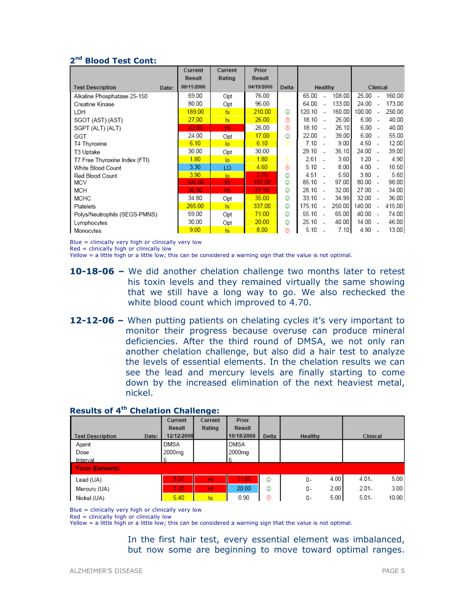## 2<sup>nd</sup> Blood Test Cont:

|                                  | Current    | Current        | Prior         |       |         |                          |        |           |                          |        |
|----------------------------------|------------|----------------|---------------|-------|---------|--------------------------|--------|-----------|--------------------------|--------|
|                                  | Result     | Rating         | <b>Result</b> |       |         |                          |        |           |                          |        |
| <b>Test Description</b><br>Date: | 08/11/2006 |                | 04/19/2006    | Delta | Healthy |                          |        |           | Clinical                 |        |
| Alkaline Phosphatase 25-150      | 69.00      | Opt            | 76.00         |       | 65.00   |                          | 108.00 | 25.00     |                          | 160.00 |
| Creatine Kinase                  | 80.00      | Opt            | 96.00         |       | 64.00   |                          | 133.00 | 24.00     |                          | 173.00 |
| LDH                              | 189.00     | hi             | 210.00        | ٧     | 120.10  | $\overline{a}$           | 160.00 | 100.00    | $\sim$                   | 250.00 |
| SGOT (AST) (AST)                 | 27.00      | hi             | 26.00         | ⊛     | 18.10   | - 14                     | 26.00  | 6.00      |                          | 40.00  |
| SGPT (ALT) (ALT)                 | 42.00      | HI             | 26.00         | ⊛     | 18.10   | $\sim$                   | 26.10  | 6.00      | $\overline{\phantom{a}}$ | 40.00  |
| GGT                              | 24.00      | Opt            | 17.00         | ☺     | 22.00   |                          | 39.00  | 6.00      | ÷.                       | 55.00  |
| T4 Thyroxine                     | 6.10       | $\overline{a}$ | 6.10          | ⊜     | 7.10    |                          | 9.00   | $4.50 -$  |                          | 12.00  |
| T3 Uptake                        | 30.00      | Opt            | 30.00         |       | 29.10   |                          | 35.10  | 24.00     | ۰.                       | 39.00  |
| T7 Free Thyroxine Index (FTI)    | 1.80       | $\overline{a}$ | 1.80          | ⊜     | 2.61    |                          | 3.60   | $1.20 -$  |                          | 4.90   |
| White Blood Count                | 3.30       | LO             | 4.60          | ⊛     | 5.10    |                          | 8.00   | 4.00      |                          | 10.50  |
| Red Blood Count                  | 3.90       | lo             | 3.76          | ☺     | 4.51    |                          | 5.50   | $3.80 -$  |                          | 5.60   |
| MCV                              | 106.00     | HI             | 107.00        | ☺     | 85.10   | $\overline{\phantom{a}}$ | 97.00  | $80.00 -$ |                          | 98.00  |
| <b>MCH</b>                       | 36.90      | HI             | 37.50         | ☺     | 28.10   | $\overline{\phantom{a}}$ | 32.00  | 27.00     | $\overline{\phantom{a}}$ | 34.00  |
| <b>MCHC</b>                      | 34.80      | Opt            | 35.00         | ☺     | 33.10   | $\sim$                   | 34.99  | 32.00     | $\sim$                   | 36.00  |
| Platelets                        | 265.00     | hi             | 337.00        | ☺     | 175.10  | $\overline{a}$           | 250.00 | 140.00    | $\overline{\phantom{a}}$ | 415.00 |
| Polys/Neutrophils (SEGS-PMNS)    | 59.00      | Opt            | 71.00         | ☺     | 55.10   | $\overline{\phantom{a}}$ | 65.00  | 40.00 -   |                          | 74.00  |
| Lymphocytes                      | 30.00      | Opt            | 20.00         | ٧     | 25.10   |                          | 40.00  | 14.00 -   |                          | 46.00  |
| Monocytes                        | 9.00       | hi             | 8.00          | ⊛     | 5.10    |                          | 7.10   | 4.90      |                          | 13.00  |

Blue = clinically very high or clinically very low

 $Red =$  clinically high or clinically low

Yellow = a little high or a little low; this can be considered a warning sign that the value is not optimal.

- 10-18-06 We did another chelation challenge two months later to retest his toxin levels and they remained virtually the same showing that we still have a long way to go. We also rechecked the white blood count which improved to 4.70.
- 12-12-06 When putting patients on chelating cycles it's very important to monitor their progress because overuse can produce mineral deficiencies. After the third round of DMSA, we not only ran another chelation challenge, but also did a hair test to analyze the levels of essential elements. In the chelation results we can see the lead and mercury levels are finally starting to come down by the increased elimination of the next heaviest metal, nickel.

|                                  | Current    | Current | Prior       |       |            |                   |
|----------------------------------|------------|---------|-------------|-------|------------|-------------------|
|                                  | Result     | Rating  | Result      |       |            |                   |
| <b>Test Description</b><br>Date: | 12/12/2006 |         | 10/18/2006  | Delta | Healthy    | Clinical          |
| Agent                            | DMSA       |         | <b>DMSA</b> |       |            |                   |
| Dose                             | 2000mg     |         | 2000mg      |       |            |                   |
| Interval                         | 6          |         | 6           |       |            |                   |
| <b>Toxic Elements</b>            |            |         |             |       |            |                   |
| Lead (UA)                        | 9.20       | HI      | 11.00       | ٧     | 4.00<br>0- | 5.00<br>$4.01 -$  |
| Mercury (UA)                     | 7.20       | HI.     | 20.00       | ٥     | 2.00<br>0- | 3.00<br>$2.01 -$  |
| Nickel (UA)                      | 5.40       | hi      | 0.90        | ⊛     | 5.00<br>0- | 10.00<br>$5.01 -$ |

## **Results of 4<sup>th</sup> Chelation Challenge:**

Blue = clinically very high or clinically very low

 $Red = clinically high or clinically low$ 

Yellow = a little high or a little low; this can be considered a warning sign that the value is not optimal.

In the first hair test, every essential element was imbalanced, but now some are beginning to move toward optimal ranges.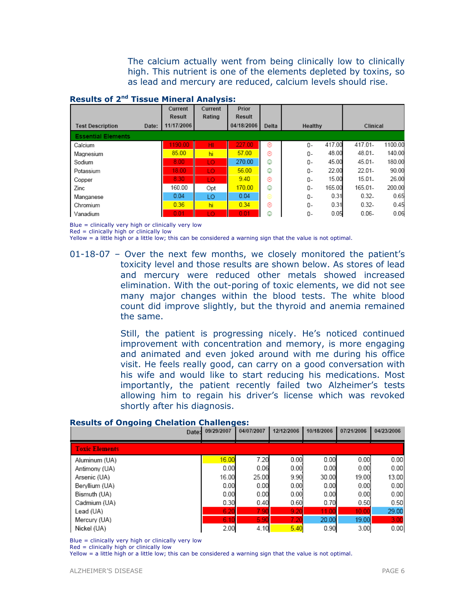The calcium actually went from being clinically low to clinically high. This nutrient is one of the elements depleted by toxins, so as lead and mercury are reduced, calcium levels should rise.

### Results of 2nd Tissue Mineral Analysis:

|                           |       | Current    | Current | Prior         |       |                |                    |
|---------------------------|-------|------------|---------|---------------|-------|----------------|--------------------|
|                           |       | Result     | Rating  | <b>Result</b> |       |                |                    |
| <b>Test Description</b>   | Date: | 11/17/2006 |         | 04/18/2006    | Delta | Healthy        | Clinical           |
| <b>Essential Elements</b> |       |            |         |               |       |                |                    |
| Calcium                   |       | 1190.00    | HI      | 227.00        | ⊛     | 417.00<br>0-   | 1100.00<br>417.01- |
| Magnesium                 |       | 85.00      | hi      | 57.00         | ⊛     | 48.00<br>0-    | 48.01.<br>140.00   |
| Sodium                    |       | 8.00       | LO      | 270.00        | ☺     | 45.00<br>0-    | 180.00<br>45.01-   |
| Potassium                 |       | 18.00      | LO.     | 56.00         | ☺     | 22.00<br>0-    | $22.01 -$<br>90.00 |
| Copper                    |       | 8.30       | LO.     | 9.40          | ⊛     | 15.00<br>$0 -$ | 26.00<br>$15.01 -$ |
| Zinc                      |       | 160.00     | Opt     | 170.00        | ☺     | 165.00<br>0-   | 165.01-<br>200.00  |
| Manganese                 |       | 0.04       | LO      | 0.04          | ⊜     | 0.31<br>0-     | $0.32 -$<br>0.65   |
| Chromium                  |       | 0.36       | hi      | 0.34          | ⊛     | 0.31<br>0-     | $0.32 -$<br>0.45   |
| Vanadium                  |       | 0.01       | LO.     | 0.01          | ☺     | 0.05<br>0-     | 0.06<br>$0.06 -$   |

Blue = clinically very high or clinically very low

Red = clinically high or clinically low

Yellow = a little high or a little low; this can be considered a warning sign that the value is not optimal.

01-18-07 – Over the next few months, we closely monitored the patient's toxicity level and those results are shown below. As stores of lead and mercury were reduced other metals showed increased elimination. With the out-poring of toxic elements, we did not see many major changes within the blood tests. The white blood count did improve slightly, but the thyroid and anemia remained the same.

> Still, the patient is progressing nicely. He's noticed continued improvement with concentration and memory, is more engaging and animated and even joked around with me during his office visit. He feels really good, can carry on a good conversation with his wife and would like to start reducing his medications. Most importantly, the patient recently failed two Alzheimer's tests allowing him to regain his driver's license which was revoked shortly after his diagnosis.

| ------                | Date: | 09/29/2007 | 04/07/2007 | 12/12/2006 | 10/18/2006 | 07/21/2006 | 04/23/2006 |
|-----------------------|-------|------------|------------|------------|------------|------------|------------|
| <b>Toxic Elements</b> |       |            |            |            |            |            |            |
| Aluminum (UA)         |       | 16.00      | 7.20       | 0.00       | 0.00       | 0.00       | 0.00       |
| Antimony (UA)         |       | 0.00       | 0.06       | 0.00       | 0.00       | 0.00       | 0.00       |
| Arsenic (UA)          |       | 16.00      | 25.00      | 9.90       | 30.00      | 19.00      | 13.00      |
| Beryllium (UA)        |       | 0.00       | 0.00       | 0.00       | 0.00       | 0.00       | 0.00       |
| Bismuth (UA)          |       | 0.00       | 0.00       | 0.00       | 0.00       | 0.00       | 0.00       |
| Cadmium (UA)          |       | 0.30       | 0.40       | 0.60       | 0.70       | 0.50       | 0.50       |
| Lead (UA)             |       | 6.20       | 7.90       | 9.20       | 11.00      | 10.00      | 29.00      |
| Mercury (UA)          |       | 6.10       | 5.90       | 7.20       | 20.00      | 19.00      | 3.00       |
| Nickel (UA)           |       | 2.00       | 4.10       | 5.40       | 0.90       | 3.00       | 0.00       |

#### Results of Ongoing Chelation Challenges:

Blue = clinically very high or clinically very low

 $Red =$  clinically high or clinically low

Yellow = a little high or a little low; this can be considered a warning sign that the value is not optimal.